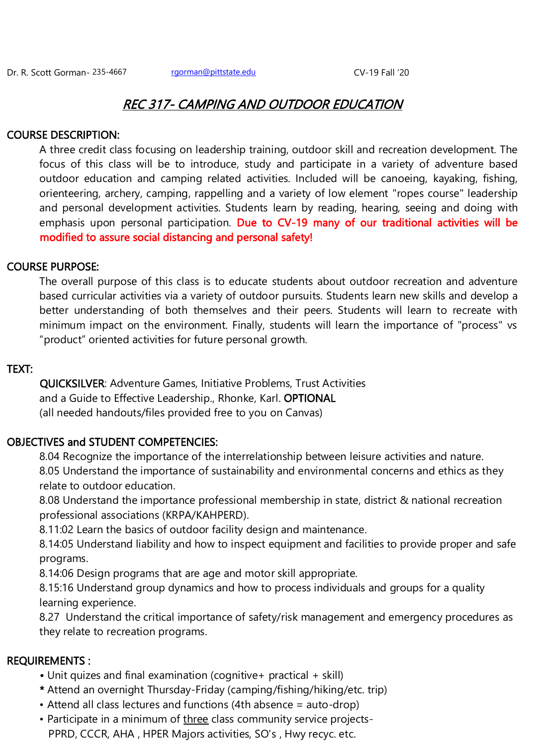# REC 317- CAMPING AND OUTDOOR EDUCATION

# COURSE DESCRIPTION:

A three credit class focusing on leadership training, outdoor skill and recreation development. The focus of this class will be to introduce, study and participate in a variety of adventure based outdoor education and camping related activities. Included will be canoeing, kayaking, fishing, orienteering, archery, camping, rappelling and a variety of low element "ropes course" leadership and personal development activities. Students learn by reading, hearing, seeing and doing with emphasis upon personal participation. Due to CV-19 many of our traditional activities will be modified to assure social distancing and personal safety!

# COURSE PURPOSE:

The overall purpose of this class is to educate students about outdoor recreation and adventure based curricular activities via a variety of outdoor pursuits. Students learn new skills and develop a better understanding of both themselves and their peers. Students will learn to recreate with minimum impact on the environment. Finally, students will learn the importance of "process" vs "product" oriented activities for future personal growth.

# TEXT:

QUICKSILVER: Adventure Games, Initiative Problems, Trust Activities and a Guide to Effective Leadership., Rhonke, Karl. OPTIONAL (all needed handouts/files provided free to you on Canvas)

# OBJECTIVES and STUDENT COMPETENCIES:

8.04 Recognize the importance of the interrelationship between leisure activities and nature. 8.05 Understand the importance of sustainability and environmental concerns and ethics as they relate to outdoor education.

8.08 Understand the importance professional membership in state, district & national recreation professional associations (KRPA/KAHPERD).

8.11:02 Learn the basics of outdoor facility design and maintenance.

8.14:05 Understand liability and how to inspect equipment and facilities to provide proper and safe programs.

8.14:06 Design programs that are age and motor skill appropriate.

8.15:16 Understand group dynamics and how to process individuals and groups for a quality learning experience.

8.27 Understand the critical importance of safety/risk management and emergency procedures as they relate to recreation programs.

# REQUIREMENTS :

- Unit quizes and final examination (cognitive+ practical + skill)
- \* Attend an overnight Thursday-Friday (camping/fishing/hiking/etc. trip)
- Attend all class lectures and functions (4th absence = auto-drop)
- Participate in a minimum of three class community service projects-PPRD, CCCR, AHA , HPER Majors activities, SO's , Hwy recyc. etc.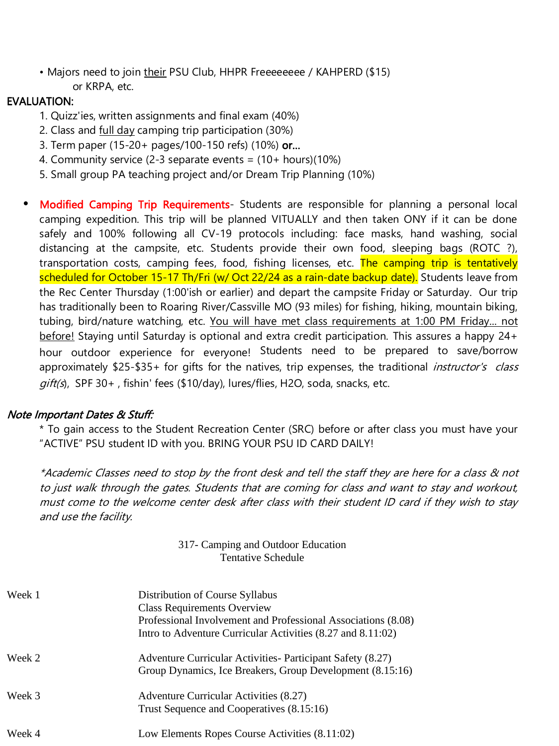• Majors need to join their PSU Club, HHPR Freeeeeeee / KAHPERD (\$15) or KRPA, etc.

# EVALUATION:

- 1. Quizz'ies, written assignments and final exam (40%)
- 2. Class and full day camping trip participation (30%)
- 3. Term paper (15-20+ pages/100-150 refs) (10%) or…
- 4. Community service (2-3 separate events = (10+ hours)(10%)
- 5. Small group PA teaching project and/or Dream Trip Planning (10%)
- Modified Camping Trip Requirements- Students are responsible for planning a personal local camping expedition. This trip will be planned VITUALLY and then taken ONY if it can be done safely and 100% following all CV-19 protocols including: face masks, hand washing, social distancing at the campsite, etc. Students provide their own food, sleeping bags (ROTC ?), transportation costs, camping fees, food, fishing licenses, etc. The camping trip is tentatively scheduled for October 15-17 Th/Fri (w/ Oct 22/24 as a rain-date backup date). Students leave from the Rec Center Thursday (1:00'ish or earlier) and depart the campsite Friday or Saturday. Our trip has traditionally been to Roaring River/Cassville MO (93 miles) for fishing, hiking, mountain biking, tubing, bird/nature watching, etc. You will have met class requirements at 1:00 PM Friday... not before! Staying until Saturday is optional and extra credit participation. This assures a happy 24+ hour outdoor experience for everyone! Students need to be prepared to save/borrow approximately \$25-\$35+ for gifts for the natives, trip expenses, the traditional *instructor's class*  $qift(s)$ , SPF 30+, fishin' fees (\$10/day), lures/flies, H2O, soda, snacks, etc.

# Note Important Dates & Stuff:

\* To gain access to the Student Recreation Center (SRC) before or after class you must have your "ACTIVE" PSU student ID with you. BRING YOUR PSU ID CARD DAILY!

\*Academic Classes need to stop by the front desk and tell the staff they are here for a class & not to just walk through the gates. Students that are coming for class and want to stay and workout, must come to the welcome center desk after class with their student ID card if they wish to stay and use the facility.

> 317- Camping and Outdoor Education Tentative Schedule

| Week 1 | Distribution of Course Syllabus<br><b>Class Requirements Overview</b><br>Professional Involvement and Professional Associations (8.08)<br>Intro to Adventure Curricular Activities (8.27 and 8.11:02) |
|--------|-------------------------------------------------------------------------------------------------------------------------------------------------------------------------------------------------------|
| Week 2 | Adventure Curricular Activities- Participant Safety (8.27)<br>Group Dynamics, Ice Breakers, Group Development (8.15:16)                                                                               |
| Week 3 | Adventure Curricular Activities (8.27)<br>Trust Sequence and Cooperatives (8.15:16)                                                                                                                   |
| Week 4 | Low Elements Ropes Course Activities (8.11:02)                                                                                                                                                        |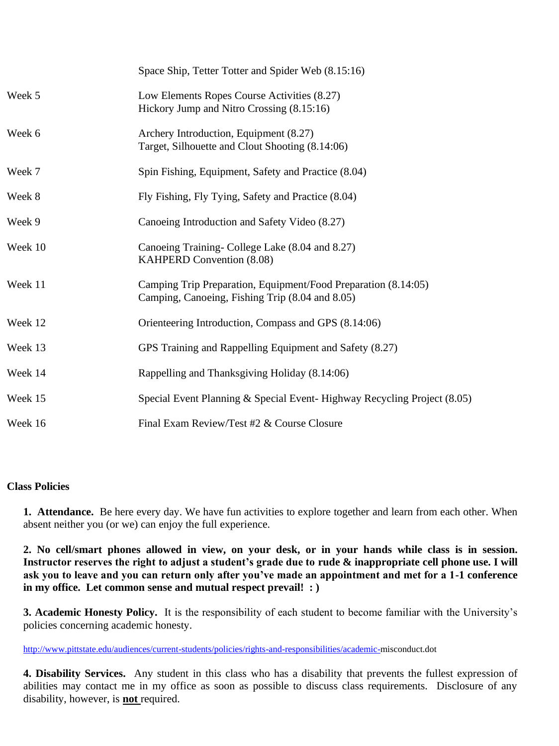|         | Space Ship, Tetter Totter and Spider Web (8.15:16)                                                                |
|---------|-------------------------------------------------------------------------------------------------------------------|
| Week 5  | Low Elements Ropes Course Activities (8.27)<br>Hickory Jump and Nitro Crossing (8.15:16)                          |
| Week 6  | Archery Introduction, Equipment (8.27)<br>Target, Silhouette and Clout Shooting (8.14:06)                         |
| Week 7  | Spin Fishing, Equipment, Safety and Practice (8.04)                                                               |
| Week 8  | Fly Fishing, Fly Tying, Safety and Practice (8.04)                                                                |
| Week 9  | Canoeing Introduction and Safety Video (8.27)                                                                     |
| Week 10 | Canoeing Training- College Lake (8.04 and 8.27)<br>KAHPERD Convention (8.08)                                      |
| Week 11 | Camping Trip Preparation, Equipment/Food Preparation (8.14:05)<br>Camping, Canoeing, Fishing Trip (8.04 and 8.05) |
| Week 12 | Orienteering Introduction, Compass and GPS (8.14:06)                                                              |
| Week 13 | GPS Training and Rappelling Equipment and Safety (8.27)                                                           |
| Week 14 | Rappelling and Thanksgiving Holiday (8.14:06)                                                                     |
| Week 15 | Special Event Planning & Special Event-Highway Recycling Project (8.05)                                           |
| Week 16 | Final Exam Review/Test #2 & Course Closure                                                                        |

# **Class Policies**

**1. Attendance.** Be here every day. We have fun activities to explore together and learn from each other. When absent neither you (or we) can enjoy the full experience.

**2. No cell/smart phones allowed in view, on your desk, or in your hands while class is in session. Instructor reserves the right to adjust a student's grade due to rude & inappropriate cell phone use. I will ask you to leave and you can return only after you've made an appointment and met for a 1-1 conference in my office. Let common sense and mutual respect prevail! : )**

**3. Academic Honesty Policy.** It is the responsibility of each student to become familiar with the University's policies concerning academic honesty.

[http://www.pittstate.edu/audiences/current-students/policies/rights-and-responsibilities/academic-m](http://www.pittstate.edu/audiences/current-students/policies/rights-and-responsibilities/academic-)isconduct.dot

**4. Disability Services.** Any student in this class who has a disability that prevents the fullest expression of abilities may contact me in my office as soon as possible to discuss class requirements. Disclosure of any disability, however, is **not** required.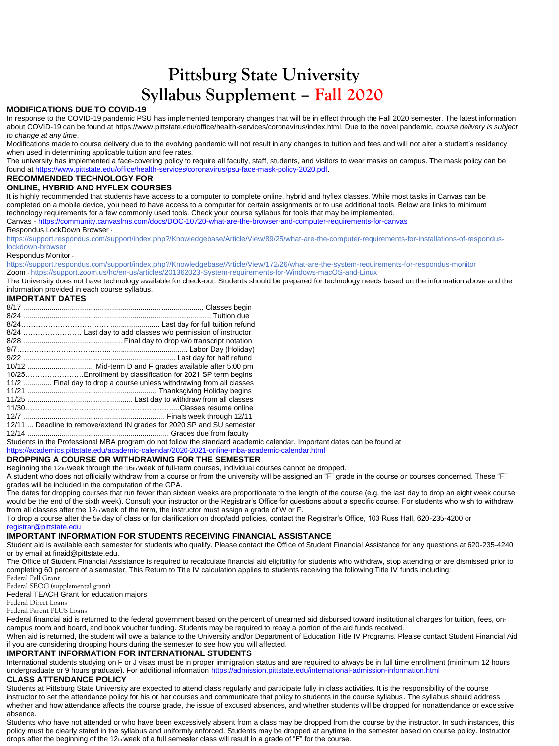# **Pittsburg State University Syllabus Supplement – Fall 2020**

# **MODIFICATIONS DUE TO COVID-19**

In response to the COVID-19 pandemic PSU has implemented temporary changes that will be in effect through the Fall 2020 semester. The latest information about COVID-19 can be found at https://www.pittstate.edu/office/health-services/coronavirus/index.html. Due to the novel pandemic, *course delivery is subject to change at any time*.

Modifications made to course delivery due to the evolving pandemic will not result in any changes to tuition and fees and will not alter a student's residency when used in determining applicable tuition and fee rates.

The university has implemented a face-covering policy to require all faculty, staff, students, and visitors to wear masks on campus. The mask policy can be found at https://www.pittstate.edu/office/health-services/coronavirus/psu-face-mask-policy-2020.pdf.

# **RECOMMENDED TECHNOLOGY FOR**

# **ONLINE, HYBRID AND HYFLEX COURSES**

It is highly recommended that students have access to a computer to complete online, hybrid and hyflex classes. While most tasks in Canvas can be completed on a mobile device, you need to have access to a computer for certain assignments or to use additional tools. Below are links to minimum technology requirements for a few commonly used tools. Check your course syllabus for tools that may be implemented.

Canvas - https://community.canvaslms.com/docs/DOC-10720-what-are-the-browser-and-computer-requirements-for-canvas

# Respondus LockDown Browser -

https://support.respondus.com/support/index.php?/Knowledgebase/Article/View/89/25/what-are-the-computer-requirements-for-installations-of-responduslockdown-browser

# Respondus Monitor -

https://support.respondus.com/support/index.php?/Knowledgebase/Article/View/172/26/what-are-the-system-requirements-for-respondus-monitor Zoom - https://support.zoom.us/hc/en-us/articles/201362023-System-requirements-for-Windows-macOS-and-Linux

The University does not have technology available for check-out. Students should be prepared for technology needs based on the information above and the information provided in each course syllabus.

# **IMPORTANT DATES**

| 10/25Enrollment by classification for 2021 SP term begins              |
|------------------------------------------------------------------------|
| 11/2  Final day to drop a course unless withdrawing from all classes   |
|                                                                        |
|                                                                        |
|                                                                        |
|                                                                        |
| 12/11  Deadline to remove/extend IN grades for 2020 SP and SU semester |
|                                                                        |
|                                                                        |

Students in the Professional MBA program do not follow the standard academic calendar. Important dates can be found at

https://academics.pittstate.edu/academic-calendar/2020-2021-online-mba-academic-calendar.html

# **DROPPING A COURSE OR WITHDRAWING FOR THE SEMESTER**

Beginning the 12th week through the 16th week of full-term courses, individual courses cannot be dropped.

A student who does not officially withdraw from a course or from the university will be assigned an "F" grade in the course or courses concerned. These "F" grades will be included in the computation of the GPA.

The dates for dropping courses that run fewer than sixteen weeks are proportionate to the length of the course (e.g. the last day to drop an eight week course would be the end of the sixth week). Consult your instructor or the Registrar's Office for questions about a specific course. For students who wish to withdraw from all classes after the 12th week of the term, the instructor must assign a grade of W or F.

To drop a course after the 5th day of class or for clarification on drop/add policies, contact the Registrar's Office, 103 Russ Hall, 620-235-4200 or registrar@pittstate.edu

# **IMPORTANT INFORMATION FOR STUDENTS RECEIVING FINANCIAL ASSISTANCE**

Student aid is available each semester for students who qualify. Please contact the Office of Student Financial Assistance for any questions at 620-235-4240 or by email at finaid@pittstate.edu.

The Office of Student Financial Assistance is required to recalculate financial aid eligibility for students who withdraw, stop attending or are dismissed prior to completing 60 percent of a semester. This Return to Title IV calculation applies to students receiving the following Title IV funds including:

Federal Pell Grant

Federal SEOG (supplemental grant)

Federal TEACH Grant for education majors

Federal Direct Loans

Federal Parent PLUS Loans

Federal financial aid is returned to the federal government based on the percent of unearned aid disbursed toward institutional charges for tuition, fees, oncampus room and board, and book voucher funding. Students may be required to repay a portion of the aid funds received.

When aid is returned, the student will owe a balance to the University and/or Department of Education Title IV Programs. Please contact Student Financial Aid if you are considering dropping hours during the semester to see how you will affected.

# **IMPORTANT INFORMATION FOR INTERNATIONAL STUDENTS**

International students studying on F or J visas must be in proper immigration status and are required to always be in full time enrollment (minimum 12 hours undergraduate or 9 hours graduate). For additional information https://admission.pittstate.edu/international-admission-information.html

# **CLASS ATTENDANCE POLICY**

Students at Pittsburg State University are expected to attend class regularly and participate fully in class activities. It is the responsibility of the course instructor to set the attendance policy for his or her courses and communicate that policy to students in the course syllabus. The syllabus should address whether and how attendance affects the course grade, the issue of excused absences, and whether students will be dropped for nonattendance or excessive absence.

Students who have not attended or who have been excessively absent from a class may be dropped from the course by the instructor. In such instances, this policy must be clearly stated in the syllabus and uniformly enforced. Students may be dropped at anytime in the semester based on course policy. Instructor drops after the beginning of the 12th week of a full semester class will result in a grade of "F" for the course.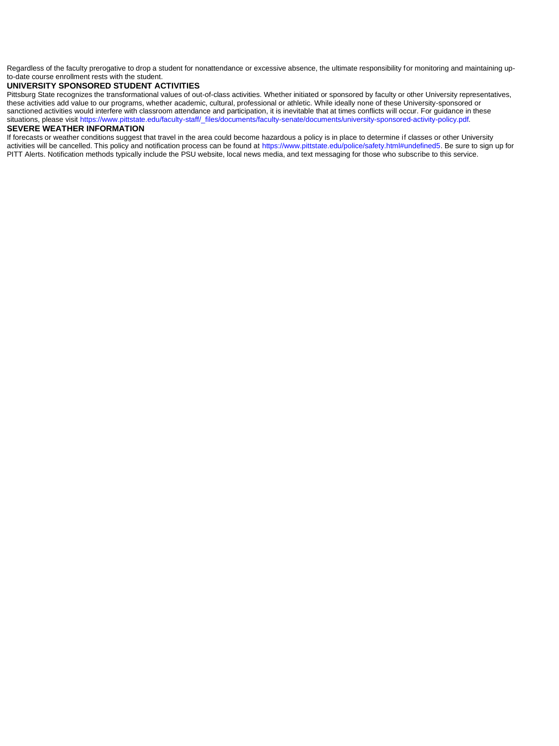Regardless of the faculty prerogative to drop a student for nonattendance or excessive absence, the ultimate responsibility for monitoring and maintaining upto-date course enrollment rests with the student.

# **UNIVERSITY SPONSORED STUDENT ACTIVITIES**

Pittsburg State recognizes the transformational values of out-of-class activities. Whether initiated or sponsored by faculty or other University representatives, these activities add value to our programs, whether academic, cultural, professional or athletic. While ideally none of these University-sponsored or sanctioned activities would interfere with classroom attendance and participation, it is inevitable that at times conflicts will occur. For guidance in these situations, please visit https://www.pittstate.edu/faculty-staff/\_files/documents/faculty-senate/documents/university-sponsored-activity-policy.pdf.

# **SEVERE WEATHER INFORMATION**

If forecasts or weather conditions suggest that travel in the area could become hazardous a policy is in place to determine if classes or other University activities will be cancelled. This policy and notification process can be found at https://www.pittstate.edu/police/safety.html#undefined5. Be sure to sign up for PITT Alerts. Notification methods typically include the PSU website, local news media, and text messaging for those who subscribe to this service.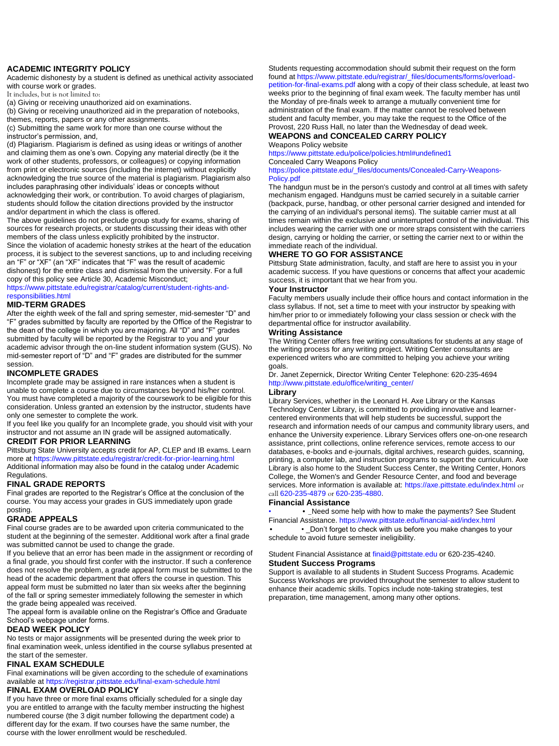# **ACADEMIC INTEGRITY POLICY**

Academic dishonesty by a student is defined as unethical activity associated with course work or grades.

It includes, but is not limited to:

(a) Giving or receiving unauthorized aid on examinations.

(b) Giving or receiving unauthorized aid in the preparation of notebooks, themes, reports, papers or any other assignments.

(c) Submitting the same work for more than one course without the instructor's permission, and,

(d) Plagiarism. Plagiarism is defined as using ideas or writings of another and claiming them as one's own. Copying any material directly (be it the work of other students, professors, or colleagues) or copying information from print or electronic sources (including the internet) without explicitly acknowledging the true source of the material is plagiarism. Plagiarism also includes paraphrasing other individuals' ideas or concepts without acknowledging their work, or contribution. To avoid charges of plagiarism, students should follow the citation directions provided by the instructor and/or department in which the class is offered.

The above guidelines do not preclude group study for exams, sharing of sources for research projects, or students discussing their ideas with other members of the class unless explicitly prohibited by the instructor. Since the violation of academic honesty strikes at the heart of the education process, it is subject to the severest sanctions, up to and including receiving an "F" or "XF" (an "XF" indicates that "F" was the result of academic dishonest) for the entire class and dismissal from the university. For a full

copy of this policy see Article 30, Academic Misconduct; https://www.pittstate.edu/registrar/catalog/current/student-rights-and-

responsibilities.html

# **MID-TERM GRADES**

After the eighth week of the fall and spring semester, mid-semester "D" and "F" grades submitted by faculty are reported by the Office of the Registrar to the dean of the college in which you are majoring. All "D" and "F" grades submitted by faculty will be reported by the Registrar to you and your academic advisor through the on-line student information system (GUS). No mid-semester report of "D" and "F" grades are distributed for the summer session.

# **INCOMPLETE GRADES**

Incomplete grade may be assigned in rare instances when a student is unable to complete a course due to circumstances beyond his/her control. You must have completed a majority of the coursework to be eligible for this consideration. Unless granted an extension by the instructor, students have only one semester to complete the work.

If you feel like you qualify for an Incomplete grade, you should visit with your instructor and not assume an IN grade will be assigned automatically.

# **CREDIT FOR PRIOR LEARNING**

Pittsburg State University accepts credit for AP, CLEP and IB exams. Learn more at https://www.pittstate.edu/registrar/credit-for-prior-learning.html Additional information may also be found in the catalog under Academic Regulations.

# **FINAL GRADE REPORTS**

Final grades are reported to the Registrar's Office at the conclusion of the course. You may access your grades in GUS immediately upon grade posting.

# **GRADE APPEALS**

Final course grades are to be awarded upon criteria communicated to the student at the beginning of the semester. Additional work after a final grade was submitted cannot be used to change the grade.

If you believe that an error has been made in the assignment or recording of a final grade, you should first confer with the instructor. If such a conference does not resolve the problem, a grade appeal form must be submitted to the head of the academic department that offers the course in question. This appeal form must be submitted no later than six weeks after the beginning of the fall or spring semester immediately following the semester in which the grade being appealed was received.

The appeal form is available online on the Registrar's Office and Graduate School's webpage under forms.

# **DEAD WEEK POLICY**

No tests or major assignments will be presented during the week prior to final examination week, unless identified in the course syllabus presented at the start of the semester.

# **FINAL EXAM SCHEDULE**

Final examinations will be given according to the schedule of examinations available at https://registrar.pittstate.edu/final-exam-schedule.html

# **FINAL EXAM OVERLOAD POLICY**

If you have three or more final exams officially scheduled for a single day you are entitled to arrange with the faculty member instructing the highest numbered course (the 3 digit number following the department code) a different day for the exam. If two courses have the same number, the course with the lower enrollment would be rescheduled.

Students requesting accommodation should submit their request on the form found at https://www.pittstate.edu/registrar/\_files/documents/forms/overloadpetition-for-final-exams.pdf along with a copy of their class schedule, at least two weeks prior to the beginning of final exam week. The faculty member has until the Monday of pre-finals week to arrange a mutually convenient time for administration of the final exam. If the matter cannot be resolved between student and faculty member, you may take the request to the Office of the Provost, 220 Russ Hall, no later than the Wednesday of dead week.

# **WEAPONS and CONCEALED CARRY POLICY**

Weapons Policy website https://www.pittstate.edu/police/policies.html#undefined1 Concealed Carry Weapons Policy https://police.pittstate.edu/\_files/documents/Concealed-Carry-Weapons-

# Policy.pdf

The handgun must be in the person's custody and control at all times with safety mechanism engaged. Handguns must be carried securely in a suitable carrier (backpack, purse, handbag, or other personal carrier designed and intended for the carrying of an individual's personal items). The suitable carrier must at all times remain within the exclusive and uninterrupted control of the individual. This includes wearing the carrier with one or more straps consistent with the carriers design, carrying or holding the carrier, or setting the carrier next to or within the immediate reach of the individual.

# **WHERE TO GO FOR ASSISTANCE**

Pittsburg State administration, faculty, and staff are here to assist you in your academic success. If you have questions or concerns that affect your academic success, it is important that we hear from you.

# **Your Instructor**

Faculty members usually include their office hours and contact information in the class syllabus. If not, set a time to meet with your instructor by speaking with him/her prior to or immediately following your class session or check with the departmental office for instructor availability.

# **Writing Assistance**

The Writing Center offers free writing consultations for students at any stage of the writing process for any writing project. Writing Center consultants are experienced writers who are committed to helping you achieve your writing goals.

Dr. Janet Zepernick, Director Writing Center Telephone: 620-235-4694 http://www.pittstate.edu/office/writing\_center/

# **Library**

Library Services, whether in the Leonard H. Axe Library or the Kansas Technology Center Library, is committed to providing innovative and learnercentered environments that will help students be successful, support the research and information needs of our campus and community library users, and enhance the University experience. Library Services offers one-on-one research assistance, print collections, online reference services, remote access to our databases, e-books and e-journals, digital archives, research guides, scanning, printing, a computer lab, and instruction programs to support the curriculum. Axe Library is also home to the Student Success Center, the Writing Center, Honors College, the Women's and Gender Resource Center, and food and beverage services. More information is available at: https://axe.pittstate.edu/index.html or call 620-235-4879 or 620-235-4880.

# **Financial Assistance**

**Need some help with how to make the payments? See Student** Financial Assistance. https://www.pittstate.edu/financial-aid/index.html

• • \_Don't forget to check with us before you make changes to your schedule to avoid future semester ineligibility.

# Student Financial Assistance at finaid@pittstate.edu or 620-235-4240. **Student Success Programs**

Support is available to all students in Student Success Programs. Academic Success Workshops are provided throughout the semester to allow student to enhance their academic skills. Topics include note-taking strategies, test preparation, time management, among many other options.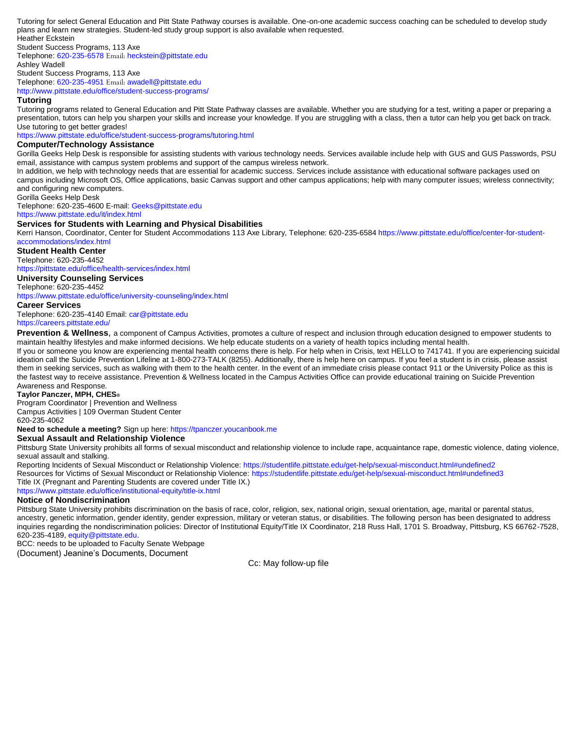Tutoring for select General Education and Pitt State Pathway courses is available. One-on-one academic success coaching can be scheduled to develop study plans and learn new strategies. Student-led study group support is also available when requested. Heather Eckstein

Student Success Programs, 113 Axe Telephone: 620-235-6578 Email: heckstein@pittstate.edu Ashley Wadell Student Success Programs, 113 Axe Telephone: 620-235-4951 Email: awadell@pittstate.edu

http://www.pittstate.edu/office/student-success-programs/

## **Tutoring**

Tutoring programs related to General Education and Pitt State Pathway classes are available. Whether you are studying for a test, writing a paper or preparing a presentation, tutors can help you sharpen your skills and increase your knowledge. If you are struggling with a class, then a tutor can help you get back on track. Use tutoring to get better grades!

https://www.pittstate.edu/office/student-success-programs/tutoring.html

# **Computer/Technology Assistance**

Gorilla Geeks Help Desk is responsible for assisting students with various technology needs. Services available include help with GUS and GUS Passwords, PSU email, assistance with campus system problems and support of the campus wireless network.

In addition, we help with technology needs that are essential for academic success. Services include assistance with educational software packages used on campus including Microsoft OS, Office applications, basic Canvas support and other campus applications; help with many computer issues; wireless connectivity; and configuring new computers.

Gorilla Geeks Help Desk

Telephone: 620-235-4600 E-mail: Geeks@pittstate.edu

https://www.pittstate.edu/it/index.html

# **Services for Students with Learning and Physical Disabilities**

Kerri Hanson, Coordinator, Center for Student Accommodations 113 Axe Library, Telephone: 620-235-6584 https://www.pittstate.edu/office/center-for-studentaccommodations/index.html

**Student Health Center** 

Telephone: 620-235-4452

https://pittstate.edu/office/health-services/index.html **University Counseling Services** 

# Telephone: 620-235-4452

https://www.pittstate.edu/office/university-counseling/index.html

### **Career Services**

Telephone: 620-235-4140 Email: car@pittstate.edu https://careers.pittstate.edu/

**Prevention & Wellness**, a component of Campus Activities, promotes a culture of respect and inclusion through education designed to empower students to maintain healthy lifestyles and make informed decisions. We help educate students on a variety of health topics including mental health.

If you or someone you know are experiencing mental health concerns there is help. For help when in Crisis, text HELLO to 741741. If you are experiencing suicidal ideation call the Suicide Prevention Lifeline at 1-800-273-TALK (8255). Additionally, there is help here on campus. If you feel a student is in crisis, please assist them in seeking services, such as walking with them to the health center. In the event of an immediate crisis please contact 911 or the University Police as this is the fastest way to receive assistance. Prevention & Wellness located in the Campus Activities Office can provide educational training on Suicide Prevention Awareness and Response.

# **Taylor Panczer, MPH, CHES®**

Program Coordinator | Prevention and Wellness Campus Activities | 109 Overman Student Center 620-235-4062

# **Need to schedule a meeting?** Sign up here: https://tpanczer.youcanbook.me

# **Sexual Assault and Relationship Violence**

Pittsburg State University prohibits all forms of sexual misconduct and relationship violence to include rape, acquaintance rape, domestic violence, dating violence, sexual assault and stalking.

Reporting Incidents of Sexual Misconduct or Relationship Violence: https://studentlife.pittstate.edu/get-help/sexual-misconduct.html#undefined2 Resources for Victims of Sexual Misconduct or Relationship Violence: https://studentlife.pittstate.edu/get-help/sexual-misconduct.html#undefined3 Title IX (Pregnant and Parenting Students are covered under Title IX.)

https://www.pittstate.edu/office/institutional-equity/title-ix.html

# **Notice of Nondiscrimination**

Pittsburg State University prohibits discrimination on the basis of race, color, religion, sex, national origin, sexual orientation, age, marital or parental status, ancestry, genetic information, gender identity, gender expression, military or veteran status, or disabilities. The following person has been designated to address inquiries regarding the nondiscrimination policies: Director of Institutional Equity/Title IX Coordinator, 218 Russ Hall, 1701 S. Broadway, Pittsburg, KS 66762-7528, 620-235-4189, equity@pittstate.edu.

BCC: needs to be uploaded to Faculty Senate Webpage (Document) Jeanine's Documents, Document

Cc: May follow-up file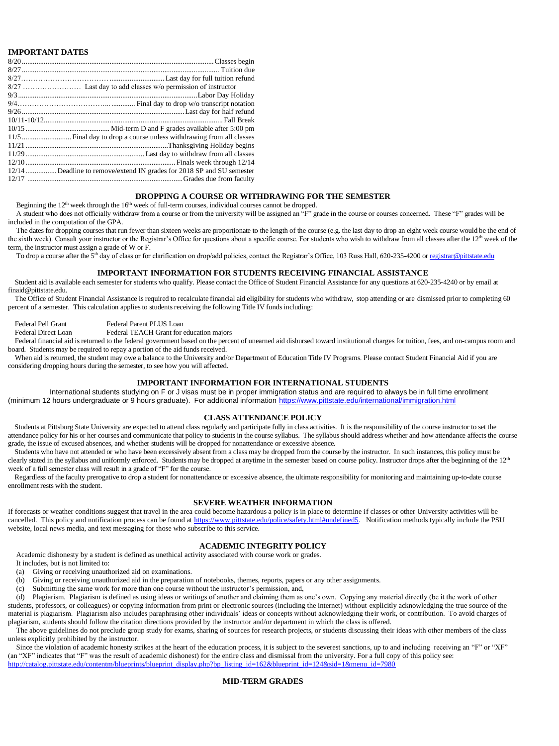# **IMPORTANT DATES**

| 12/14Deadline to remove/extend IN grades for 2018 SP and SU semester |
|----------------------------------------------------------------------|
|                                                                      |
|                                                                      |

# **DROPPING A COURSE OR WITHDRAWING FOR THE SEMESTER**

Beginning the  $12<sup>th</sup>$  week through the  $16<sup>th</sup>$  week of full-term courses, individual courses cannot be dropped.

A student who does not officially withdraw from a course or from the university will be assigned an "F" grade in the course or courses concerned. These "F" grades will be included in the computation of the GPA.

The dates for dropping courses that run fewer than sixteen weeks are proportionate to the length of the course (e.g. the last day to drop an eight week course would be the end of the sixth week). Consult your instructor or the Registrar's Office for questions about a specific course. For students who wish to withdraw from all classes after the 12<sup>th</sup> week of the term, the instructor must assign a grade of W or F.

To drop a course after the 5<sup>th</sup> day of class or for clarification on drop/add policies, contact the Registrar's Office, 103 Russ Hall, 620-235-4200 o[r registrar@pittstate.edu](mailto:registrar@pittstate.edu)

### **IMPORTANT INFORMATION FOR STUDENTS RECEIVING FINANCIAL ASSISTANCE**

Student aid is available each semester for students who qualify. Please contact the Office of Student Financial Assistance for any questions at 620-235-4240 or by email at finaid@pittstate.edu.

The Office of Student Financial Assistance is required to recalculate financial aid eligibility for students who withdraw, stop attending or are dismissed prior to completing 60 percent of a semester. This calculation applies to students receiving the following Title IV funds including:

Federal Pell Grant Federal Parent PLUS Loan

Federal Direct Loan Federal TEACH Grant for education majors

Federal financial aid is returned to the federal government based on the percent of unearned aid disbursed toward institutional charges for tuition, fees, and on-campus room and board. Students may be required to repay a portion of the aid funds received.

When aid is returned, the student may owe a balance to the University and/or Department of Education Title IV Programs. Please contact Student Financial Aid if you are considering dropping hours during the semester, to see how you will affected.

# **IMPORTANT INFORMATION FOR INTERNATIONAL STUDENTS**

International students studying on F or J visas must be in proper immigration status and are required to always be in full time enrollment (minimum 12 hours undergraduate or 9 hours graduate). For additional information<https://www.pittstate.edu/international/immigration.html>

# **CLASS ATTENDANCE POLICY**

Students at Pittsburg State University are expected to attend class regularly and participate fully in class activities. It is the responsibility of the course instructor to set the attendance policy for his or her courses and communicate that policy to students in the course syllabus. The syllabus should address whether and how attendance affects the course grade, the issue of excused absences, and whether students will be dropped for nonattendance or excessive absence.

Students who have not attended or who have been excessively absent from a class may be dropped from the course by the instructor. In such instances, this policy must be clearly stated in the syllabus and uniformly enforced. Students may be dropped at anytime in the semester based on course policy. Instructor drops after the beginning of the 12<sup>th</sup> week of a full semester class will result in a grade of "F" for the course.

Regardless of the faculty prerogative to drop a student for nonattendance or excessive absence, the ultimate responsibility for monitoring and maintaining up-to-date course enrollment rests with the student.

# **SEVERE WEATHER INFORMATION**

If forecasts or weather conditions suggest that travel in the area could become hazardous a policy is in place to determine if classes or other University activities will be cancelled. This policy and notification process can be found a[t https://www.pittstate.edu/police/safety.html#undefined5.](https://www.pittstate.edu/police/safety.html#undefined5) Notification methods typically include the PSU website, local news media, and text messaging for those who subscribe to this service.

# **ACADEMIC INTEGRITY POLICY**

Academic dishonesty by a student is defined as unethical activity associated with course work or grades.

It includes, but is not limited to:

- (a) Giving or receiving unauthorized aid on examinations.
- (b) Giving or receiving unauthorized aid in the preparation of notebooks, themes, reports, papers or any other assignments.
- (c) Submitting the same work for more than one course without the instructor's permission, and,

(d) Plagiarism. Plagiarism is defined as using ideas or writings of another and claiming them as one's own. Copying any material directly (be it the work of other students, professors, or colleagues) or copying information from print or electronic sources (including the internet) without explicitly acknowledging the true source of the material is plagiarism. Plagiarism also includes paraphrasing other individuals' ideas or concepts without acknowledging their work, or contribution. To avoid charges of plagiarism, students should follow the citation directions provided by the instructor and/or department in which the class is offered.

The above guidelines do not preclude group study for exams, sharing of sources for research projects, or students discussing their ideas with other members of the class unless explicitly prohibited by the instructor.

Since the violation of academic honesty strikes at the heart of the education process, it is subject to the severest sanctions, up to and including receiving an "F" or "XF" (an "XF" indicates that "F" was the result of academic dishonest) for the entire class and dismissal from the university. For a full copy of this policy see: [http://catalog.pittstate.edu/contentm/blueprints/blueprint\\_display.php?bp\\_listing\\_id=162&blueprint\\_id=124&sid=1&menu\\_id=7980](http://catalog.pittstate.edu/contentm/blueprints/blueprint_display.php?bp_listing_id=162&blueprint_id=124&sid=1&menu_id=7980)

# **MID-TERM GRADES**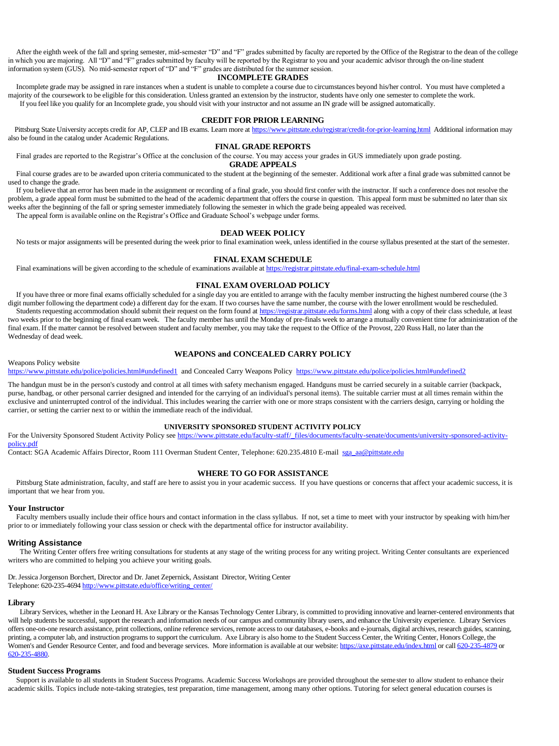After the eighth week of the fall and spring semester, mid-semester "D" and "F" grades submitted by faculty are reported by the Office of the Registrar to the dean of the college in which you are majoring. All "D" and "F" grades submitted by faculty will be reported by the Registrar to you and your academic advisor through the on-line student information system (GUS). No mid-semester report of "D" and "F" grades are distributed for the summer session.

### **INCOMPLETE GRADES**

Incomplete grade may be assigned in rare instances when a student is unable to complete a course due to circumstances beyond his/her control. You must have completed a majority of the coursework to be eligible for this consideration. Unless granted an extension by the instructor, students have only one semester to complete the work. If you feel like you qualify for an Incomplete grade, you should visit with your instructor and not assume an IN grade will be assigned automatically.

# **CREDIT FOR PRIOR LEARNING**

Pittsburg State University accepts credit for AP, CLEP and IB exams. Learn more at<https://www.pittstate.edu/registrar/credit-for-prior-learning.html>Additional information may also be found in the catalog under Academic Regulations.

# **FINAL GRADE REPORTS**

Final grades are reported to the Registrar's Office at the conclusion of the course. You may access your grades in GUS immediately upon grade posting. **GRADE APPEALS**

Final course grades are to be awarded upon criteria communicated to the student at the beginning of the semester. Additional work after a final grade was submitted cannot be used to change the grade.

If you believe that an error has been made in the assignment or recording of a final grade, you should first confer with the instructor. If such a conference does not resolve the problem, a grade appeal form must be submitted to the head of the academic department that offers the course in question. This appeal form must be submitted no later than six weeks after the beginning of the fall or spring semester immediately following the semester in which the grade being appealed was received.

The appeal form is available online on the Registrar's Office and Graduate School's webpage under forms.

### **DEAD WEEK POLICY**

No tests or major assignments will be presented during the week prior to final examination week, unless identified in the course syllabus presented at the start of the semester.

# **FINAL EXAM SCHEDULE**

Final examinations will be given according to the schedule of examinations available a[t https://registrar.pittstate.edu/final-exam-schedule.html](https://registrar.pittstate.edu/final-exam-schedule.html)

# **FINAL EXAM OVERLOAD POLICY**

If you have three or more final exams officially scheduled for a single day you are entitled to arrange with the faculty member instructing the highest numbered course (the 3 digit number following the department code) a different day for the exam. If two courses have the same number, the course with the lower enrollment would be rescheduled. Students requesting accommodation should submit their request on the form found a[t https://registrar.pittstate.edu/forms.html](https://registrar.pittstate.edu/forms.html) along with a copy of their class schedule, at least two weeks prior to the beginning of final exam week. The faculty member has until the Monday of pre-finals week to arrange a mutually convenient time for administration of the final exam. If the matter cannot be resolved between student and faculty member, you may take the request to the Office of the Provost, 220 Russ Hall, no later than the Wednesday of dead week.

# **WEAPONS and CONCEALED CARRY POLICY**

# Weapons Policy website

<https://www.pittstate.edu/police/policies.html#undefined1> and Concealed Carry Weapons Policy<https://www.pittstate.edu/police/policies.html#undefined2>

The handgun must be in the person's custody and control at all times with safety mechanism engaged. Handguns must be carried securely in a suitable carrier (backpack, purse, handbag, or other personal carrier designed and intended for the carrying of an individual's personal items). The suitable carrier must at all times remain within the exclusive and uninterrupted control of the individual. This includes wearing the carrier with one or more straps consistent with the carriers design, carrying or holding the carrier, or setting the carrier next to or within the immediate reach of the individual.

# **UNIVERSITY SPONSORED STUDENT ACTIVITY POLICY**

For the University Sponsored Student Activity Policy se[e https://www.pittstate.edu/faculty-staff/\\_files/documents/faculty-senate/documents/university-sponsored-activity](https://www.pittstate.edu/faculty-staff/_files/documents/faculty-senate/documents/university-sponsored-activity-policy.pdf)[policy.pdf](https://www.pittstate.edu/faculty-staff/_files/documents/faculty-senate/documents/university-sponsored-activity-policy.pdf)

Contact: SGA Academic Affairs Director, Room 111 Overman Student Center, Telephone: 620.235.4810 E-mail [sga\\_aa@pittstate.edu](mailto:sga_aa@pittstate.edu)

### **WHERE TO GO FOR ASSISTANCE**

Pittsburg State administration, faculty, and staff are here to assist you in your academic success. If you have questions or concerns that affect your academic success, it is important that we hear from you.

### **Your Instructor**

Faculty members usually include their office hours and contact information in the class syllabus. If not, set a time to meet with your instructor by speaking with him/her prior to or immediately following your class session or check with the departmental office for instructor availability.

### **Writing Assistance**

The Writing Center offers free writing consultations for students at any stage of the writing process for any writing project. Writing Center consultants are experienced writers who are committed to helping you achieve your writing goals.

Dr. Jessica Jorgenson Borchert, Director and Dr. Janet Zepernick, Assistant Director, Writing Center Telephone: 620-235-469[4 http://www.pittstate.edu/office/writing\\_center/](http://www.pittstate.edu/office/writing_center/)

### **Library**

Library Services, whether in the Leonard H. Axe Library or the Kansas Technology Center Library, is committed to providing innovative and learner-centered environments that will help students be successful, support the research and information needs of our campus and community library users, and enhance the University experience. Library Services offers one-on-one research assistance, print collections, online reference services, remote access to our databases, e-books and e-journals, digital archives, research guides, scanning, printing, a computer lab, and instruction programs to support the curriculum. Axe Library is also home to the Student Success Center, the Writing Center, Honors College, the Women's and Gender Resource Center, and food and beverage services. More information is available at our website[: https://axe.pittstate.edu/index.html](https://axe.pittstate.edu/index.html) or cal[l 620-235-4879](callto:620-235-4879) or [620-235-4880.](callto:620-235-4880) 

### **Student Success Programs**

Support is available to all students in Student Success Programs. Academic Success Workshops are provided throughout the semester to allow student to enhance their academic skills. Topics include note-taking strategies, test preparation, time management, among many other options. Tutoring for select general education courses is